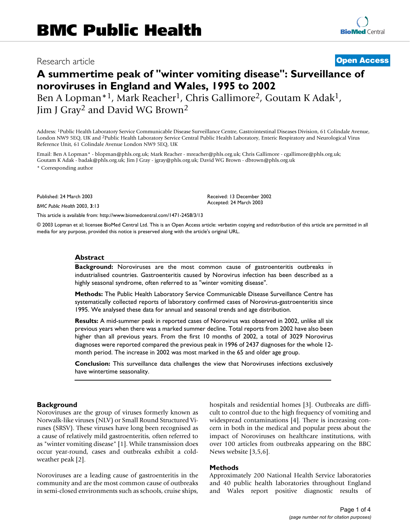# Research article **[Open Access](http://www.biomedcentral.com/info/about/charter/)**

# **A summertime peak of "winter vomiting disease": Surveillance of noroviruses in England and Wales, 1995 to 2002** Ben A Lopman<sup>\*1</sup>, Mark Reacher<sup>1</sup>, Chris Gallimore<sup>2</sup>, Goutam K Adak<sup>1</sup>, Jim J Gray2 and David WG Brown2

Address: 1Public Health Laboratory Service Communicable Disease Surveillance Centre, Gastrointestinal Diseases Division, 61 Colindale Avenue, London NW9 5EQ, UK and 2Public Health Laboratory Service Central Public Health Laboratory, Enteric Respiratory and Neurological Virus Reference Unit, 61 Colindale Avenue London NW9 5EQ, UK

Email: Ben A Lopman\* - blopman@phls.org.uk; Mark Reacher - mreacher@phls.org.uk; Chris Gallimore - cgallimore@phls.org.uk; Goutam K Adak - badak@phls.org.uk; Jim J Gray - jgray@phls.org.uk; David WG Brown - dbrown@phls.org.uk

\* Corresponding author

Published: 24 March 2003

*BMC Public Health* 2003, **3**:13

[This article is available from: http://www.biomedcentral.com/1471-2458/3/13](http://www.biomedcentral.com/1471-2458/3/13)

© 2003 Lopman et al; licensee BioMed Central Ltd. This is an Open Access article: verbatim copying and redistribution of this article are permitted in all media for any purpose, provided this notice is preserved along with the article's original URL.

Received: 13 December 2002 Accepted: 24 March 2003

# **Abstract**

**Background:** Noroviruses are the most common cause of gastroenteritis outbreaks in industrialised countries. Gastroenteritis caused by Norovirus infection has been described as a highly seasonal syndrome, often referred to as "winter vomiting disease".

**Methods:** The Public Health Laboratory Service Communicable Disease Surveillance Centre has systematically collected reports of laboratory confirmed cases of Norovirus-gastroenteritis since 1995. We analysed these data for annual and seasonal trends and age distribution.

**Results:** A mid-summer peak in reported cases of Norovirus was observed in 2002, unlike all six previous years when there was a marked summer decline. Total reports from 2002 have also been higher than all previous years. From the first 10 months of 2002, a total of 3029 Norovirus diagnoses were reported compared the previous peak in 1996 of 2437 diagnoses for the whole 12 month period. The increase in 2002 was most marked in the 65 and older age group.

**Conclusion:** This surveillance data challenges the view that Noroviruses infections exclusively have wintertime seasonality.

# **Background**

Noroviruses are the group of viruses formerly known as Norwalk-like viruses (NLV) or Small Round Structured Viruses (SRSV). These viruses have long been recognised as a cause of relatively mild gastroenteritis, often referred to as "winter vomiting disease" [1]. While transmission does occur year-round, cases and outbreaks exhibit a coldweather peak [2].

Noroviruses are a leading cause of gastroenteritis in the community and are the most common cause of outbreaks in semi-closed environments such as schools, cruise ships, hospitals and residential homes [3]. Outbreaks are difficult to control due to the high frequency of vomiting and widespread contaminations [4]. There is increasing concern in both in the medical and popular press about the impact of Noroviruses on healthcare institutions, with over 100 articles from outbreaks appearing on the BBC News website [3,5,6].

# **Methods**

Approximately 200 National Health Service laboratories and 40 public health laboratories throughout England and Wales report positive diagnostic results of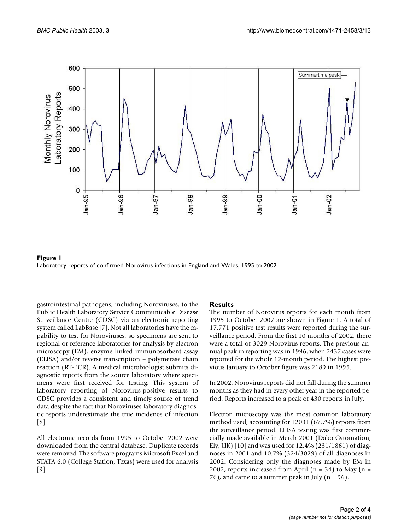

**Figure 1** Laboratory reports of confirmed Norovirus infections in England and Wales, 1995 to 2002

gastrointestinal pathogens, including Noroviruses, to the Public Health Laboratory Service Communicable Disease Surveillance Centre (CDSC) via an electronic reporting system called LabBase [7]. Not all laboratories have the capability to test for Noroviruses, so specimens are sent to regional or reference laboratories for analysis by electron microscopy (EM), enzyme linked immunosorbent assay (ELISA) and/or reverse transcription – polymerase chain reaction (RT-PCR). A medical microbiologist submits diagnostic reports from the source laboratory where specimens were first received for testing. This system of laboratory reporting of Norovirus-positive results to CDSC provides a consistent and timely source of trend data despite the fact that Noroviruses laboratory diagnostic reports underestimate the true incidence of infection [8].

All electronic records from 1995 to October 2002 were downloaded from the central database. Duplicate records were removed. The software programs Microsoft Excel and STATA 6.0 (College Station, Texas) were used for analysis [9].

#### **Results**

The number of Norovirus reports for each month from 1995 to October 2002 are shown in Figure 1. A total of 17,771 positive test results were reported during the surveillance period. From the first 10 months of 2002, there were a total of 3029 Norovirus reports. The previous annual peak in reporting was in 1996, when 2437 cases were reported for the whole 12-month period. The highest previous January to October figure was 2189 in 1995.

In 2002, Norovirus reports did not fall during the summer months as they had in every other year in the reported period. Reports increased to a peak of 430 reports in July.

Electron microscopy was the most common laboratory method used, accounting for 12031 (67.7%) reports from the surveillance period. ELISA testing was first commercially made available in March 2001 (Dako Cytomation, Ely, UK) [10] and was used for 12.4% (231/1861) of diagnoses in 2001 and 10.7% (324/3029) of all diagnoses in 2002. Considering only the diagnoses made by EM in 2002, reports increased from April  $(n = 34)$  to May  $(n = 12002)$ 76), and came to a summer peak in July ( $n = 96$ ).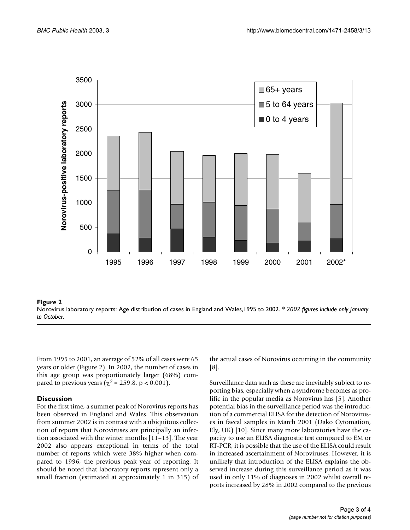

#### **Figure 2** Norovirus laboratory reports: Age distribution of cases in England and Wales,1995 to 2002. *\* 2002 figures include only January to October*.

From 1995 to 2001, an average of 52% of all cases were 65 years or older (Figure 2). In 2002, the number of cases in this age group was proportionately larger (68%) compared to previous years ( $\chi^2$  = 259.8, p < 0.001).

# **Discussion**

For the first time, a summer peak of Norovirus reports has been observed in England and Wales. This observation from summer 2002 is in contrast with a ubiquitous collection of reports that Noroviruses are principally an infection associated with the winter months [11–13]. The year 2002 also appears exceptional in terms of the total number of reports which were 38% higher when compared to 1996, the previous peak year of reporting. It should be noted that laboratory reports represent only a small fraction (estimated at approximately 1 in 315) of the actual cases of Norovirus occurring in the community [8].

Surveillance data such as these are inevitably subject to reporting bias, especially when a syndrome becomes as prolific in the popular media as Norovirus has [5]. Another potential bias in the surveillance period was the introduction of a commercial ELISA for the detection of Noroviruses in faecal samples in March 2001 (Dako Cytomation, Ely, UK) [10]. Since many more laboratories have the capacity to use an ELISA diagnostic test compared to EM or RT-PCR, it is possible that the use of the ELISA could result in increased ascertainment of Noroviruses. However, it is unlikely that introduction of the ELISA explains the observed increase during this surveillance period as it was used in only 11% of diagnoses in 2002 whilst overall reports increased by 28% in 2002 compared to the previous